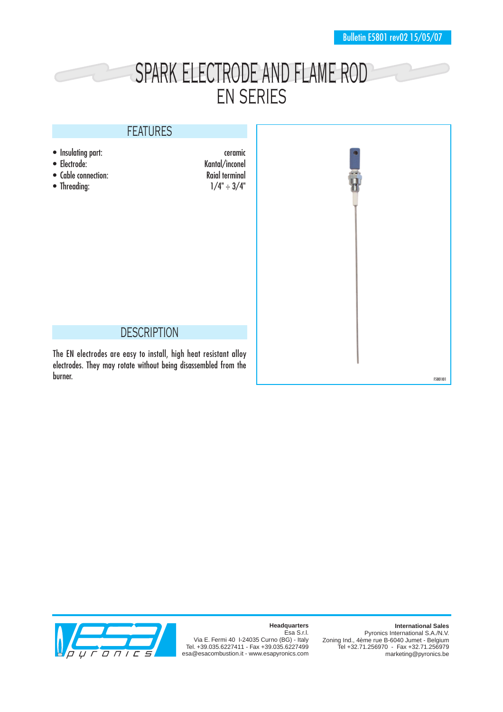## SPARK ELECTRODE AND FLAME ROD EN SERIES

## FEATURES

- 
- 
- 
- Threading:

• Insulating part: ceramic<br>• Electrode: Ceramic Ceramic Ceramic Ceramic Ceramic Ceramic Ceramic Ceramic Ceramic Ceramic Ceramic Ceramic Ceramic Ceramic Ceramic Ceramic Ceramic Ceramic Ceramic Ceramic Ceramic Ceramic Cerami Kantal/inconel<br>Raial terminal • Cable connection:<br>
• Threading:  $1/4" \div 3/4"$ 



## **DESCRIPTION**

The EN electrodes are easy to install, high heat resistant alloy electrodes. They may rotate without being disassembled from the



**Headquarters**

**International Sales**

Esa S.r.l. Via E. Fermi 40 I-24035 Curno (BG) - Italy Tel. +39.035.6227411 - Fax +39.035.6227499 esa@esacombustion.it - www.esapyronics.com

Pyronics International S.A./N.V. Zoning Ind., 4ème rue B-6040 Jumet - Belgium Tel +32.71.256970 - Fax +32.71.256979 marketing@pyronics.be